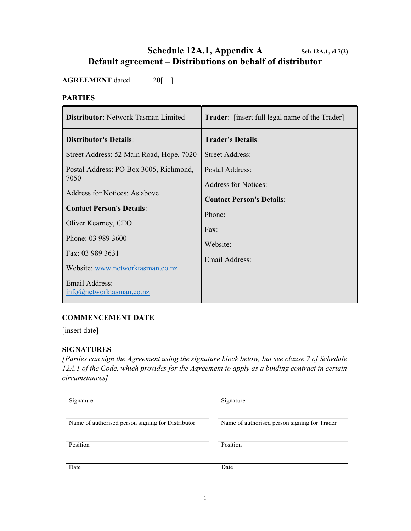# Schedule 12A.1, Appendix A Sch 12A.1, cl  $7(2)$ Default agreement – Distributions on behalf of distributor

AGREEMENT dated 20[ ]

#### PARTIES

| Distributor: Network Tasman Limited             | <b>Trader:</b> [insert full legal name of the Trader] |
|-------------------------------------------------|-------------------------------------------------------|
| <b>Distributor's Details:</b>                   | <b>Trader's Details:</b>                              |
| Street Address: 52 Main Road, Hope, 7020        | <b>Street Address:</b>                                |
| Postal Address: PO Box 3005, Richmond,          | Postal Address:                                       |
| 7050                                            | <b>Address for Notices:</b>                           |
| Address for Notices: As above                   | <b>Contact Person's Details:</b>                      |
| <b>Contact Person's Details:</b>                | Phone:                                                |
| Oliver Kearney, CEO                             | Fax:                                                  |
| Phone: 03 989 3600                              | Website:                                              |
| Fax: 03 989 3631                                | Email Address:                                        |
| Website: www.networktasman.co.nz                |                                                       |
| Email Address:<br>$info(a)$ networktasman.co.nz |                                                       |

# COMMENCEMENT DATE

[insert date]

## SIGNATURES

[Parties can sign the Agreement using the signature block below, but see clause 7 of Schedule 12A.1 of the Code, which provides for the Agreement to apply as a binding contract in certain circumstances]

| Signature                                         | Signature                                    |
|---------------------------------------------------|----------------------------------------------|
| Name of authorised person signing for Distributor | Name of authorised person signing for Trader |
| Position                                          | Position                                     |
| Date                                              | Date                                         |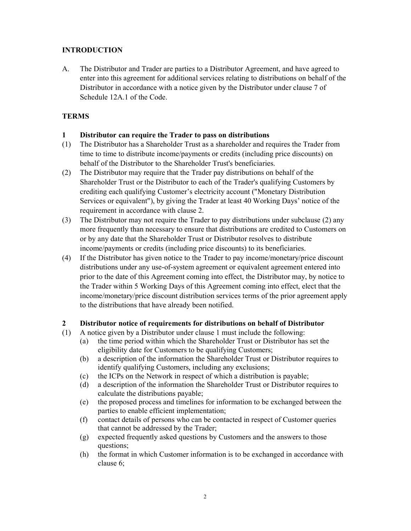# **INTRODUCTION**

A. The Distributor and Trader are parties to a Distributor Agreement, and have agreed to enter into this agreement for additional services relating to distributions on behalf of the Distributor in accordance with a notice given by the Distributor under clause 7 of Schedule 12A.1 of the Code.

# **TERMS**

### 1 Distributor can require the Trader to pass on distributions

- (1) The Distributor has a Shareholder Trust as a shareholder and requires the Trader from time to time to distribute income/payments or credits (including price discounts) on behalf of the Distributor to the Shareholder Trust's beneficiaries.
- (2) The Distributor may require that the Trader pay distributions on behalf of the Shareholder Trust or the Distributor to each of the Trader's qualifying Customers by crediting each qualifying Customer's electricity account ("Monetary Distribution Services or equivalent"), by giving the Trader at least 40 Working Days' notice of the requirement in accordance with clause 2.
- (3) The Distributor may not require the Trader to pay distributions under subclause (2) any more frequently than necessary to ensure that distributions are credited to Customers on or by any date that the Shareholder Trust or Distributor resolves to distribute income/payments or credits (including price discounts) to its beneficiaries.
- (4) If the Distributor has given notice to the Trader to pay income/monetary/price discount distributions under any use-of-system agreement or equivalent agreement entered into prior to the date of this Agreement coming into effect, the Distributor may, by notice to the Trader within 5 Working Days of this Agreement coming into effect, elect that the income/monetary/price discount distribution services terms of the prior agreement apply to the distributions that have already been notified.

#### 2 Distributor notice of requirements for distributions on behalf of Distributor

- (1) A notice given by a Distributor under clause 1 must include the following:
	- (a) the time period within which the Shareholder Trust or Distributor has set the eligibility date for Customers to be qualifying Customers;
	- (b) a description of the information the Shareholder Trust or Distributor requires to identify qualifying Customers, including any exclusions;
	- (c) the ICPs on the Network in respect of which a distribution is payable;
	- (d) a description of the information the Shareholder Trust or Distributor requires to calculate the distributions payable;
	- (e) the proposed process and timelines for information to be exchanged between the parties to enable efficient implementation;
	- (f) contact details of persons who can be contacted in respect of Customer queries that cannot be addressed by the Trader;
	- (g) expected frequently asked questions by Customers and the answers to those questions;
	- (h) the format in which Customer information is to be exchanged in accordance with clause 6;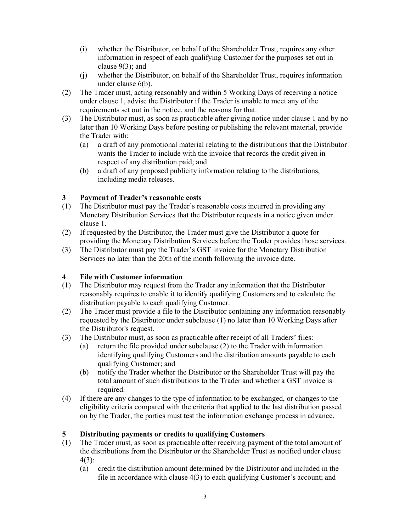- (i) whether the Distributor, on behalf of the Shareholder Trust, requires any other information in respect of each qualifying Customer for the purposes set out in clause 9(3); and
- (j) whether the Distributor, on behalf of the Shareholder Trust, requires information under clause 6(b).
- (2) The Trader must, acting reasonably and within 5 Working Days of receiving a notice under clause 1, advise the Distributor if the Trader is unable to meet any of the requirements set out in the notice, and the reasons for that.
- (3) The Distributor must, as soon as practicable after giving notice under clause 1 and by no later than 10 Working Days before posting or publishing the relevant material, provide the Trader with:
	- (a) a draft of any promotional material relating to the distributions that the Distributor wants the Trader to include with the invoice that records the credit given in respect of any distribution paid; and
	- (b) a draft of any proposed publicity information relating to the distributions, including media releases.

## 3 Payment of Trader's reasonable costs

- (1) The Distributor must pay the Trader's reasonable costs incurred in providing any Monetary Distribution Services that the Distributor requests in a notice given under clause 1.
- (2) If requested by the Distributor, the Trader must give the Distributor a quote for providing the Monetary Distribution Services before the Trader provides those services.
- (3) The Distributor must pay the Trader's GST invoice for the Monetary Distribution Services no later than the 20th of the month following the invoice date.

## 4 File with Customer information

- (1) The Distributor may request from the Trader any information that the Distributor reasonably requires to enable it to identify qualifying Customers and to calculate the distribution payable to each qualifying Customer.
- (2) The Trader must provide a file to the Distributor containing any information reasonably requested by the Distributor under subclause (1) no later than 10 Working Days after the Distributor's request.
- (3) The Distributor must, as soon as practicable after receipt of all Traders' files:
	- (a) return the file provided under subclause (2) to the Trader with information identifying qualifying Customers and the distribution amounts payable to each qualifying Customer; and
	- (b) notify the Trader whether the Distributor or the Shareholder Trust will pay the total amount of such distributions to the Trader and whether a GST invoice is required.
- (4) If there are any changes to the type of information to be exchanged, or changes to the eligibility criteria compared with the criteria that applied to the last distribution passed on by the Trader, the parties must test the information exchange process in advance.

#### 5 Distributing payments or credits to qualifying Customers

- (1) The Trader must, as soon as practicable after receiving payment of the total amount of the distributions from the Distributor or the Shareholder Trust as notified under clause 4(3):
	- (a) credit the distribution amount determined by the Distributor and included in the file in accordance with clause 4(3) to each qualifying Customer's account; and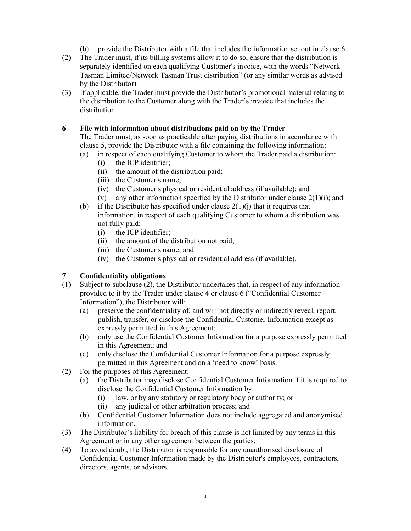- (b) provide the Distributor with a file that includes the information set out in clause 6.
- (2) The Trader must, if its billing systems allow it to do so, ensure that the distribution is separately identified on each qualifying Customer's invoice, with the words "Network Tasman Limited/Network Tasman Trust distribution" (or any similar words as advised by the Distributor).
- (3) If applicable, the Trader must provide the Distributor's promotional material relating to the distribution to the Customer along with the Trader's invoice that includes the distribution.

## 6 File with information about distributions paid on by the Trader

 The Trader must, as soon as practicable after paying distributions in accordance with clause 5, provide the Distributor with a file containing the following information:

- (a) in respect of each qualifying Customer to whom the Trader paid a distribution: (i) the ICP identifier;
	- (ii) the amount of the distribution paid;
	- (iii) the Customer's name;
	- (iv) the Customer's physical or residential address (if available); and
	- (v) any other information specified by the Distributor under clause  $2(1)(i)$ ; and
- (b) if the Distributor has specified under clause  $2(1)(i)$  that it requires that information, in respect of each qualifying Customer to whom a distribution was not fully paid:
	- (i) the ICP identifier;
	- (ii) the amount of the distribution not paid;
	- (iii) the Customer's name; and
	- (iv) the Customer's physical or residential address (if available).

#### 7 Confidentiality obligations

- (1) Subject to subclause (2), the Distributor undertakes that, in respect of any information provided to it by the Trader under clause 4 or clause 6 ("Confidential Customer Information"), the Distributor will:
	- (a) preserve the confidentiality of, and will not directly or indirectly reveal, report, publish, transfer, or disclose the Confidential Customer Information except as expressly permitted in this Agreement;
	- (b) only use the Confidential Customer Information for a purpose expressly permitted in this Agreement; and
	- (c) only disclose the Confidential Customer Information for a purpose expressly permitted in this Agreement and on a 'need to know' basis.
- (2) For the purposes of this Agreement:
	- (a) the Distributor may disclose Confidential Customer Information if it is required to disclose the Confidential Customer Information by:
		- (i) law, or by any statutory or regulatory body or authority; or
		- (ii) any judicial or other arbitration process; and
	- (b) Confidential Customer Information does not include aggregated and anonymised information.
- (3) The Distributor's liability for breach of this clause is not limited by any terms in this Agreement or in any other agreement between the parties.
- (4) To avoid doubt, the Distributor is responsible for any unauthorised disclosure of Confidential Customer Information made by the Distributor's employees, contractors, directors, agents, or advisors.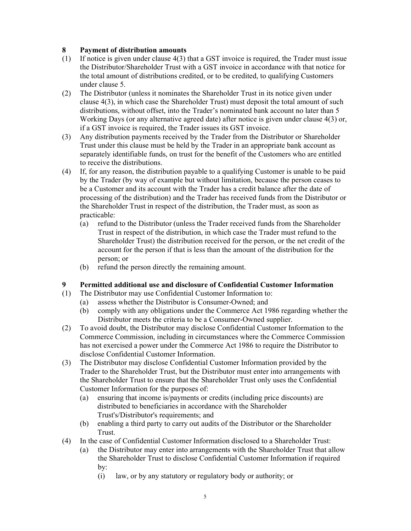### 8 Payment of distribution amounts

- (1) If notice is given under clause 4(3) that a GST invoice is required, the Trader must issue the Distributor/Shareholder Trust with a GST invoice in accordance with that notice for the total amount of distributions credited, or to be credited, to qualifying Customers under clause 5.
- (2) The Distributor (unless it nominates the Shareholder Trust in its notice given under clause 4(3), in which case the Shareholder Trust) must deposit the total amount of such distributions, without offset, into the Trader's nominated bank account no later than 5 Working Days (or any alternative agreed date) after notice is given under clause 4(3) or, if a GST invoice is required, the Trader issues its GST invoice.
- (3) Any distribution payments received by the Trader from the Distributor or Shareholder Trust under this clause must be held by the Trader in an appropriate bank account as separately identifiable funds, on trust for the benefit of the Customers who are entitled to receive the distributions.
- (4) If, for any reason, the distribution payable to a qualifying Customer is unable to be paid by the Trader (by way of example but without limitation, because the person ceases to be a Customer and its account with the Trader has a credit balance after the date of processing of the distribution) and the Trader has received funds from the Distributor or the Shareholder Trust in respect of the distribution, the Trader must, as soon as practicable:
	- (a) refund to the Distributor (unless the Trader received funds from the Shareholder Trust in respect of the distribution, in which case the Trader must refund to the Shareholder Trust) the distribution received for the person, or the net credit of the account for the person if that is less than the amount of the distribution for the person; or
	- (b) refund the person directly the remaining amount.

## 9 Permitted additional use and disclosure of Confidential Customer Information

- (1) The Distributor may use Confidential Customer Information to:
	- (a) assess whether the Distributor is Consumer-Owned; and
		- (b) comply with any obligations under the Commerce Act 1986 regarding whether the Distributor meets the criteria to be a Consumer-Owned supplier.
- (2) To avoid doubt, the Distributor may disclose Confidential Customer Information to the Commerce Commission, including in circumstances where the Commerce Commission has not exercised a power under the Commerce Act 1986 to require the Distributor to disclose Confidential Customer Information.
- (3) The Distributor may disclose Confidential Customer Information provided by the Trader to the Shareholder Trust, but the Distributor must enter into arrangements with the Shareholder Trust to ensure that the Shareholder Trust only uses the Confidential Customer Information for the purposes of:
	- (a) ensuring that income is/payments or credits (including price discounts) are distributed to beneficiaries in accordance with the Shareholder Trust's/Distributor's requirements; and
	- (b) enabling a third party to carry out audits of the Distributor or the Shareholder Trust.
- (4) In the case of Confidential Customer Information disclosed to a Shareholder Trust:
	- (a) the Distributor may enter into arrangements with the Shareholder Trust that allow the Shareholder Trust to disclose Confidential Customer Information if required by:
		- (i) law, or by any statutory or regulatory body or authority; or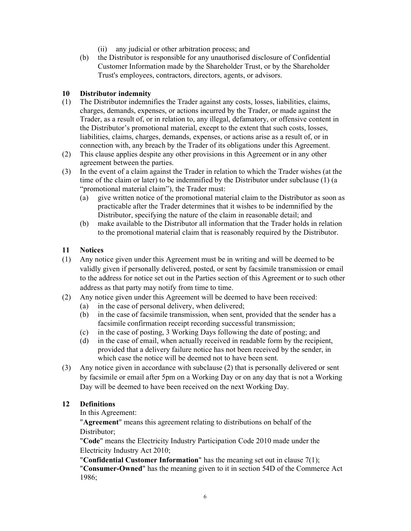- (ii) any judicial or other arbitration process; and
- (b) the Distributor is responsible for any unauthorised disclosure of Confidential Customer Information made by the Shareholder Trust, or by the Shareholder Trust's employees, contractors, directors, agents, or advisors.

#### 10 Distributor indemnity

- (1) The Distributor indemnifies the Trader against any costs, losses, liabilities, claims, charges, demands, expenses, or actions incurred by the Trader, or made against the Trader, as a result of, or in relation to, any illegal, defamatory, or offensive content in the Distributor's promotional material, except to the extent that such costs, losses, liabilities, claims, charges, demands, expenses, or actions arise as a result of, or in connection with, any breach by the Trader of its obligations under this Agreement.
- (2) This clause applies despite any other provisions in this Agreement or in any other agreement between the parties.
- (3) In the event of a claim against the Trader in relation to which the Trader wishes (at the time of the claim or later) to be indemnified by the Distributor under subclause (1) (a "promotional material claim"), the Trader must:
	- (a) give written notice of the promotional material claim to the Distributor as soon as practicable after the Trader determines that it wishes to be indemnified by the Distributor, specifying the nature of the claim in reasonable detail; and
	- (b) make available to the Distributor all information that the Trader holds in relation to the promotional material claim that is reasonably required by the Distributor.

#### 11 Notices

- (1) Any notice given under this Agreement must be in writing and will be deemed to be validly given if personally delivered, posted, or sent by facsimile transmission or email to the address for notice set out in the Parties section of this Agreement or to such other address as that party may notify from time to time.
- (2) Any notice given under this Agreement will be deemed to have been received:
	- (a) in the case of personal delivery, when delivered;
	- (b) in the case of facsimile transmission, when sent, provided that the sender has a facsimile confirmation receipt recording successful transmission;
	- (c) in the case of posting, 3 Working Days following the date of posting; and
	- (d) in the case of email, when actually received in readable form by the recipient, provided that a delivery failure notice has not been received by the sender, in which case the notice will be deemed not to have been sent.
- (3) Any notice given in accordance with subclause (2) that is personally delivered or sent by facsimile or email after 5pm on a Working Day or on any day that is not a Working Day will be deemed to have been received on the next Working Day.

#### 12 Definitions

In this Agreement:

"Agreement" means this agreement relating to distributions on behalf of the Distributor;

"Code" means the Electricity Industry Participation Code 2010 made under the Electricity Industry Act 2010;

"**Confidential Customer Information**" has the meaning set out in clause  $7(1)$ ; "Consumer-Owned" has the meaning given to it in section 54D of the Commerce Act 1986;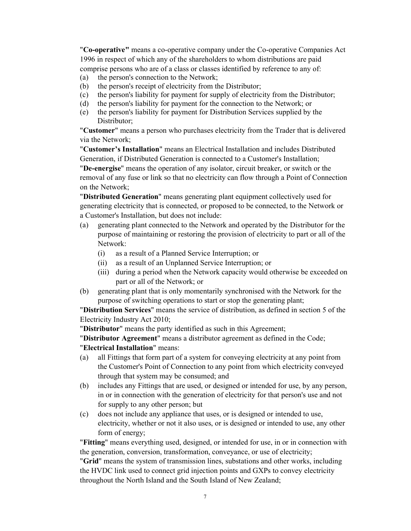"Co-operative" means a co-operative company under the Co-operative Companies Act 1996 in respect of which any of the shareholders to whom distributions are paid comprise persons who are of a class or classes identified by reference to any of:

- (a) the person's connection to the Network;
- (b) the person's receipt of electricity from the Distributor;
- (c) the person's liability for payment for supply of electricity from the Distributor;
- (d) the person's liability for payment for the connection to the Network; or
- (e) the person's liability for payment for Distribution Services supplied by the Distributor;

"Customer" means a person who purchases electricity from the Trader that is delivered via the Network;

"Customer's Installation" means an Electrical Installation and includes Distributed Generation, if Distributed Generation is connected to a Customer's Installation;

"De-energise" means the operation of any isolator, circuit breaker, or switch or the removal of any fuse or link so that no electricity can flow through a Point of Connection on the Network;

"Distributed Generation" means generating plant equipment collectively used for generating electricity that is connected, or proposed to be connected, to the Network or a Customer's Installation, but does not include:

- (a) generating plant connected to the Network and operated by the Distributor for the purpose of maintaining or restoring the provision of electricity to part or all of the Network:
	- (i) as a result of a Planned Service Interruption; or
	- (ii) as a result of an Unplanned Service Interruption; or
	- (iii) during a period when the Network capacity would otherwise be exceeded on part or all of the Network; or
- (b) generating plant that is only momentarily synchronised with the Network for the purpose of switching operations to start or stop the generating plant;

"Distribution Services" means the service of distribution, as defined in section 5 of the Electricity Industry Act 2010;

"Distributor" means the party identified as such in this Agreement;

"Distributor Agreement" means a distributor agreement as defined in the Code; "Electrical Installation" means:

- (a) all Fittings that form part of a system for conveying electricity at any point from the Customer's Point of Connection to any point from which electricity conveyed through that system may be consumed; and
- (b) includes any Fittings that are used, or designed or intended for use, by any person, in or in connection with the generation of electricity for that person's use and not for supply to any other person; but
- (c) does not include any appliance that uses, or is designed or intended to use, electricity, whether or not it also uses, or is designed or intended to use, any other form of energy;

"Fitting" means everything used, designed, or intended for use, in or in connection with the generation, conversion, transformation, conveyance, or use of electricity;

"Grid" means the system of transmission lines, substations and other works, including the HVDC link used to connect grid injection points and GXPs to convey electricity throughout the North Island and the South Island of New Zealand;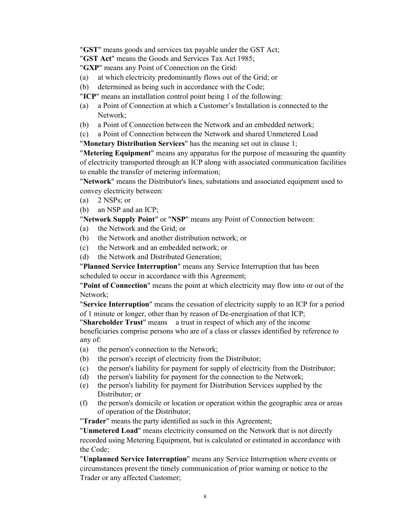"GST" means goods and services tax payable under the GST Act;

"GST Act" means the Goods and Services Tax Act 1985;

"GXP" means any Point of Connection on the Grid:

- (a) at which electricity predominantly flows out of the Grid; or
- (b) determined as being such in accordance with the Code;
- "ICP" means an installation control point being 1 of the following:
- (a) a Point of Connection at which a Customer's Installation is connected to the Network;
- (b) a Point of Connection between the Network and an embedded network;
- (c) a Point of Connection between the Network and shared Unmetered Load

"Monetary Distribution Services" has the meaning set out in clause 1;

"Metering Equipment" means any apparatus for the purpose of measuring the quantity of electricity transported through an ICP along with associated communication facilities to enable the transfer of metering information;

"Network" means the Distributor's lines, substations and associated equipment used to convey electricity between:

(a) 2 NSPs; or

(b) an NSP and an ICP;

"Network Supply Point" or "NSP" means any Point of Connection between:

- (a) the Network and the Grid; or
- (b) the Network and another distribution network; or
- (c) the Network and an embedded network; or
- (d) the Network and Distributed Generation;

"Planned Service Interruption" means any Service Interruption that has been

scheduled to occur in accordance with this Agreement;

"Point of Connection" means the point at which electricity may flow into or out of the Network;

"Service Interruption" means the cessation of electricity supply to an ICP for a period of 1 minute or longer, other than by reason of De-energisation of that ICP;

"Shareholder Trust" means a trust in respect of which any of the income beneficiaries comprise persons who are of a class or classes identified by reference to any of:

- (a) the person's connection to the Network;
- (b) the person's receipt of electricity from the Distributor;
- (c) the person's liability for payment for supply of electricity from the Distributor;
- (d) the person's liability for payment for the connection to the Network;
- (e) the person's liability for payment for Distribution Services supplied by the Distributor; or
- (f) the person's domicile or location or operation within the geographic area or areas of operation of the Distributor;

"Trader" means the party identified as such in this Agreement;

"Unmetered Load" means electricity consumed on the Network that is not directly recorded using Metering Equipment, but is calculated or estimated in accordance with the Code;

"Unplanned Service Interruption" means any Service Interruption where events or circumstances prevent the timely communication of prior warning or notice to the Trader or any affected Customer;